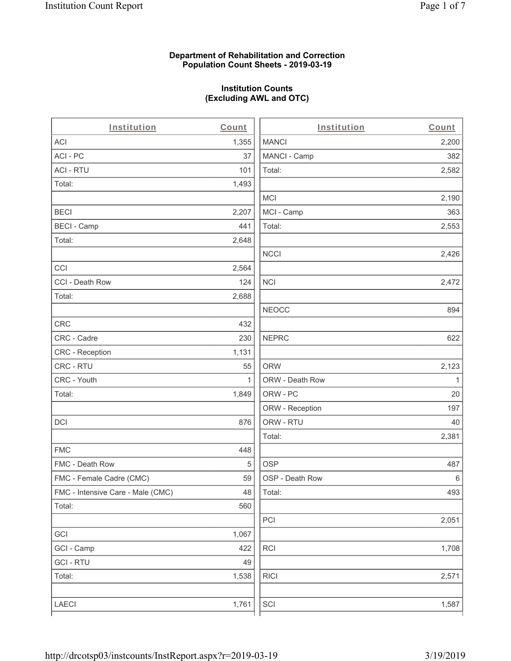#### **Department of Rehabilitation and Correction Population Count Sheets - 2019-03-19**

## **Institution Counts (Excluding AWL and OTC)**

 $\overline{a}$ .

| Institution                       | Count        | Institution     | Count        |
|-----------------------------------|--------------|-----------------|--------------|
| ACI                               | 1,355        | <b>MANCI</b>    | 2,200        |
| ACI-PC                            | 37           | MANCI - Camp    | 382          |
| <b>ACI - RTU</b>                  | 101          | Total:          | 2,582        |
| Total:                            | 1,493        |                 |              |
|                                   |              | <b>MCI</b>      | 2,190        |
| <b>BECI</b>                       | 2,207        | MCI - Camp      | 363          |
| <b>BECI - Camp</b>                | 441          | Total:          | 2,553        |
| Total:                            | 2,648        |                 |              |
|                                   |              | <b>NCCI</b>     | 2,426        |
| CCI                               | 2,564        |                 |              |
| CCI - Death Row                   | 124          | $\sf NCI$       | 2,472        |
| Total:                            | 2,688        |                 |              |
|                                   |              | <b>NEOCC</b>    | 894          |
| CRC                               | 432          |                 |              |
| CRC - Cadre                       | 230          | <b>NEPRC</b>    | 622          |
| CRC - Reception                   | 1,131        |                 |              |
| CRC - RTU                         | 55           | <b>ORW</b>      | 2,123        |
| CRC - Youth                       | $\mathbf{1}$ | ORW - Death Row | $\mathbf{1}$ |
| Total:                            | 1,849        | ORW - PC        | 20           |
|                                   |              | ORW - Reception | 197          |
| DCI                               | 876          | ORW - RTU       | 40           |
|                                   |              | Total:          | 2,381        |
| <b>FMC</b>                        | 448          |                 |              |
| FMC - Death Row                   | 5            | <b>OSP</b>      | 487          |
| FMC - Female Cadre (CMC)          | 59           | OSP - Death Row | 6            |
| FMC - Intensive Care - Male (CMC) | 48           | Total:          | 493          |
| Total:                            | 560          |                 |              |
|                                   |              | PCI             | 2,051        |
| GCI                               | 1,067        |                 |              |
| GCI - Camp                        | 422          | RCI             | 1,708        |
| <b>GCI - RTU</b>                  | 49           |                 |              |
| Total:                            | 1,538        | <b>RICI</b>     | 2,571        |
|                                   |              |                 |              |
| LAECI                             | 1,761        | SCI             | 1,587        |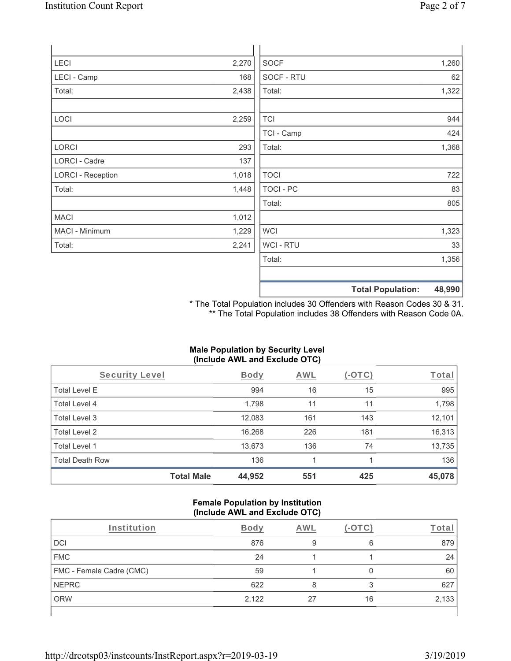| LECI                     | 2,270 | <b>SOCF</b>      | 1,260 |
|--------------------------|-------|------------------|-------|
| LECI - Camp              | 168   | SOCF - RTU       | 62    |
| Total:                   | 2,438 | Total:           | 1,322 |
| LOCI                     | 2,259 | <b>TCI</b>       | 944   |
|                          |       | TCI - Camp       | 424   |
| LORCI                    | 293   | Total:           | 1,368 |
| <b>LORCI - Cadre</b>     | 137   |                  |       |
| <b>LORCI - Reception</b> | 1,018 | <b>TOCI</b>      | 722   |
| Total:                   | 1,448 | <b>TOCI - PC</b> | 83    |
|                          |       | Total:           | 805   |
| <b>MACI</b>              | 1,012 |                  |       |
| MACI - Minimum           | 1,229 | <b>WCI</b>       | 1,323 |
| Total:                   | 2,241 | WCI - RTU        | 33    |
|                          |       | Total:           | 1,356 |
|                          |       |                  |       |

**Total Population: 48,990**

\* The Total Population includes 30 Offenders with Reason Codes 30 & 31. \*\* The Total Population includes 38 Offenders with Reason Code 0A.

# **Male Population by Security Level (Include AWL and Exclude OTC)**

| Security Level         |                   | <b>Body</b> | AWL | (-OTC) | Total  |
|------------------------|-------------------|-------------|-----|--------|--------|
| <b>Total Level E</b>   |                   | 994         | 16  | 15     | 995    |
| Total Level 4          |                   | 1,798       | 11  | 11     | 1,798  |
| Total Level 3          |                   | 12,083      | 161 | 143    | 12,101 |
| Total Level 2          |                   | 16,268      | 226 | 181    | 16,313 |
| Total Level 1          |                   | 13,673      | 136 | 74     | 13,735 |
| <b>Total Death Row</b> |                   | 136         |     |        | 136    |
|                        | <b>Total Male</b> | 44,952      | 551 | 425    | 45,078 |

#### **Female Population by Institution (Include AWL and Exclude OTC)**

| Institution              | <b>Body</b> | AWL | $ \cap$ TC) | Total |
|--------------------------|-------------|-----|-------------|-------|
| DCI                      | 876         | 9   | 6           | 879   |
| <b>FMC</b>               | 24          |     |             | 24    |
| FMC - Female Cadre (CMC) | 59          |     |             | 60    |
| <b>NEPRC</b>             | 622         |     | ॽ           | 627   |
| <b>ORW</b>               | 2,122       | 27  | 16          | 2,133 |
|                          |             |     |             |       |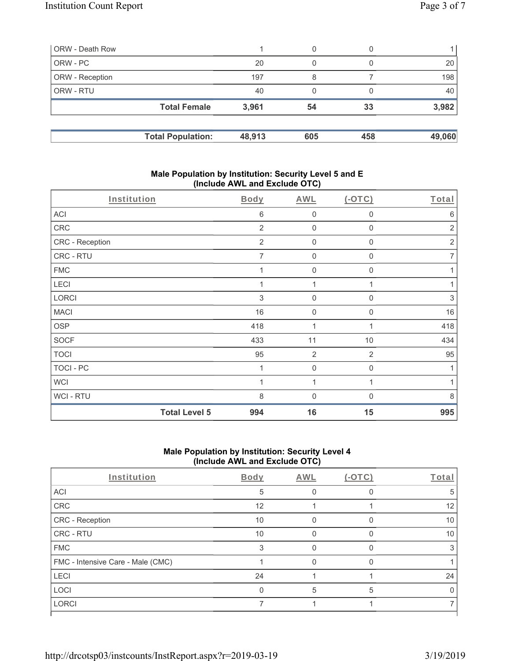| ORW - Death Row        |                          |        | 0   |     |        |
|------------------------|--------------------------|--------|-----|-----|--------|
| ORW - PC               |                          | 20     | 0   |     | 20     |
| <b>ORW</b> - Reception |                          | 197    | 8   |     | 198    |
| <b>ORW - RTU</b>       |                          | 40     | 0   |     | 40     |
|                        | <b>Total Female</b>      | 3,961  | 54  | 33  | 3,982  |
|                        | <b>Total Population:</b> | 48,913 | 605 | 458 | 49,060 |

#### **Male Population by Institution: Security Level 5 and E (Include AWL and Exclude OTC)**

| Institution      | <b>Body</b>                 | <b>AWL</b>          | $(-OTC)$       | Total                     |
|------------------|-----------------------------|---------------------|----------------|---------------------------|
| ACI              | 6                           | $\mathbf 0$         | 0              | $6\,$                     |
| CRC              | 2                           | $\mathbf 0$         | 0              | $\overline{2}$            |
| CRC - Reception  | $\overline{2}$              | $\mathbf 0$         | 0              | $\overline{2}$            |
| CRC - RTU        | 7                           | $\mathbf 0$         | 0              | $\overline{7}$            |
| <b>FMC</b>       | 1                           | $\mathbf 0$         | $\mathbf 0$    | 1                         |
| LECI             |                             | 1                   |                |                           |
| LORCI            | $\ensuremath{\mathsf{3}}$   | $\mathbf 0$         | 0              | $\ensuremath{\mathsf{3}}$ |
| <b>MACI</b>      | 16                          | $\mathbf 0$         | $\mathbf 0$    | 16                        |
| <b>OSP</b>       | 418                         | 1                   | 1              | 418                       |
| <b>SOCF</b>      | 433                         | 11                  | $10$           | 434                       |
| <b>TOCI</b>      | 95                          | $\overline{2}$      | $\overline{2}$ | 95                        |
| <b>TOCI - PC</b> | 1                           | $\mathsf{O}\xspace$ | $\mathbf 0$    | 1                         |
| <b>WCI</b>       |                             | 1                   | 1              |                           |
| <b>WCI-RTU</b>   | 8                           | $\mathbf 0$         | 0              | $\,8\,$                   |
|                  | <b>Total Level 5</b><br>994 | 16                  | 15             | 995                       |

### **Male Population by Institution: Security Level 4 (Include AWL and Exclude OTC)**

| Institution                       | Body | AWL | $(-OTC)$ | Total |
|-----------------------------------|------|-----|----------|-------|
| <b>ACI</b>                        | 5    |     |          | 5     |
| CRC                               | 12   |     |          | 12    |
| <b>CRC</b> - Reception            | 10   |     | O        | 10    |
| <b>CRC - RTU</b>                  | 10   |     |          | 10    |
| <b>FMC</b>                        | 3    |     |          |       |
| FMC - Intensive Care - Male (CMC) |      |     |          |       |
| <b>LECI</b>                       | 24   |     |          | 24    |
| LOCI                              |      | 5   | 5        |       |
| <b>LORCI</b>                      |      |     |          |       |
|                                   |      |     |          |       |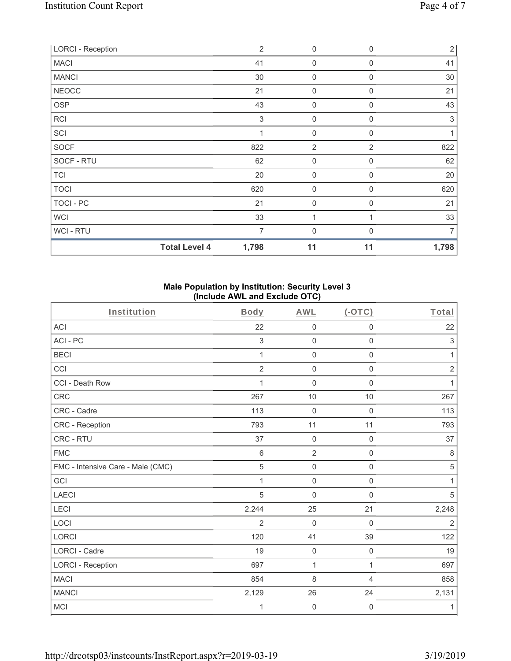| <b>LORCI - Reception</b> | $\overline{2}$                | 0                | $\mathbf 0$    | $\overline{2}$ |
|--------------------------|-------------------------------|------------------|----------------|----------------|
| <b>MACI</b>              | 41                            | 0                | $\Omega$       | 41             |
| <b>MANCI</b>             | 30                            | 0                | 0              | 30             |
| <b>NEOCC</b>             | 21                            | $\mathbf 0$      | $\mathbf 0$    | 21             |
| <b>OSP</b>               | 43                            | $\mathbf 0$      | 0              | 43             |
| <b>RCI</b>               | 3                             | $\mathbf 0$      | 0              | 3              |
| SCI                      |                               | $\mathbf 0$      | $\mathbf{0}$   |                |
| <b>SOCF</b>              | 822                           | $\overline{2}$   | $\overline{2}$ | 822            |
| SOCF - RTU               | 62                            | $\boldsymbol{0}$ | 0              | 62             |
| <b>TCI</b>               | 20                            | $\mathbf 0$      | $\mathbf 0$    | 20             |
| <b>TOCI</b>              | 620                           | $\mathbf 0$      | 0              | 620            |
| TOCI - PC                | 21                            | $\mathbf 0$      | $\Omega$       | 21             |
| <b>WCI</b>               | 33                            | 1                |                | 33             |
| <b>WCI-RTU</b>           | $\overline{7}$                | $\overline{0}$   | $\Omega$       | 7              |
|                          | <b>Total Level 4</b><br>1,798 | 11               | 11             | 1,798          |

#### **Male Population by Institution: Security Level 3 (Include AWL and Exclude OTC)**

| Institution                       | Body            | <b>AWL</b>          | $($ -OTC $)$        | Total          |
|-----------------------------------|-----------------|---------------------|---------------------|----------------|
| ACI                               | 22              | $\mathsf{O}\xspace$ | $\mathsf 0$         | 22             |
| ACI-PC                            | 3               | $\mathsf{O}\xspace$ | $\mathbf 0$         | $\,$ 3 $\,$    |
| <b>BECI</b>                       | 1               | $\mathbf 0$         | $\mathsf 0$         | 1              |
| CCI                               | $\overline{2}$  | $\mathbf 0$         | $\mathsf 0$         | $\overline{2}$ |
| CCI - Death Row                   | 1               | $\mathsf{O}\xspace$ | $\mathsf 0$         | $\mathbf{1}$   |
| <b>CRC</b>                        | 267             | 10                  | 10                  | 267            |
| CRC - Cadre                       | 113             | $\mathbf 0$         | $\mathbf 0$         | 113            |
| CRC - Reception                   | 793             | 11                  | 11                  | 793            |
| CRC - RTU                         | 37              | $\mathbf 0$         | $\mathsf 0$         | 37             |
| <b>FMC</b>                        | $6\phantom{1}6$ | $\overline{2}$      | $\mathbf 0$         | $\,8\,$        |
| FMC - Intensive Care - Male (CMC) | $\sqrt{5}$      | $\mathbf 0$         | $\mathsf 0$         | $\sqrt{5}$     |
| GCI                               | 1               | $\mathsf{O}\xspace$ | $\mathsf 0$         | 1              |
| <b>LAECI</b>                      | 5               | $\mathbf 0$         | 0                   | 5              |
| LECI                              | 2,244           | 25                  | 21                  | 2,248          |
| LOCI                              | $\overline{2}$  | $\mathbf 0$         | $\mathbf{0}$        | $\overline{2}$ |
| <b>LORCI</b>                      | 120             | 41                  | 39                  | 122            |
| <b>LORCI - Cadre</b>              | 19              | $\mathbf 0$         | $\mathbf 0$         | 19             |
| <b>LORCI - Reception</b>          | 697             | 1                   | 1                   | 697            |
| <b>MACI</b>                       | 854             | 8                   | 4                   | 858            |
| <b>MANCI</b>                      | 2,129           | 26                  | 24                  | 2,131          |
| <b>MCI</b>                        | 1               | $\mathsf{O}\xspace$ | $\mathsf{O}\xspace$ | 1              |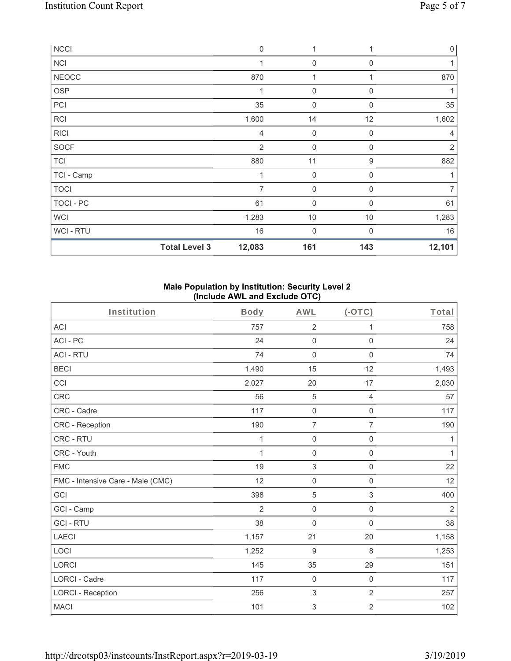| <b>NCCI</b>    |                      | $\mathbf 0$    | 1                   |             | $\mathsf{O}\xspace$ |
|----------------|----------------------|----------------|---------------------|-------------|---------------------|
| <b>NCI</b>     |                      | 1              | $\overline{0}$      | $\Omega$    |                     |
| <b>NEOCC</b>   |                      | 870            |                     |             | 870                 |
| <b>OSP</b>     |                      | 1              | $\boldsymbol{0}$    | $\Omega$    | 1                   |
| PCI            |                      | 35             | 0                   | $\Omega$    | 35                  |
| <b>RCI</b>     |                      | 1,600          | 14                  | 12          | 1,602               |
| <b>RICI</b>    |                      | 4              | $\mathsf{O}\xspace$ | $\mathbf 0$ | 4                   |
| SOCF           |                      | $\overline{2}$ | $\boldsymbol{0}$    | $\mathbf 0$ | $\overline{2}$      |
| <b>TCI</b>     |                      | 880            | 11                  | 9           | 882                 |
| TCI - Camp     |                      | 1              | $\mathsf{O}\xspace$ | $\mathbf 0$ | 1                   |
| <b>TOCI</b>    |                      | $\overline{7}$ | $\mathsf{O}\xspace$ | $\mathbf 0$ |                     |
| TOCI - PC      |                      | 61             | $\boldsymbol{0}$    | 0           | 61                  |
| <b>WCI</b>     |                      | 1,283          | $10$                | 10          | 1,283               |
| <b>WCI-RTU</b> |                      | 16             | 0                   | $\Omega$    | 16                  |
|                | <b>Total Level 3</b> | 12,083         | 161                 | 143         | 12,101              |

#### **Male Population by Institution: Security Level 2 (Include AWL and Exclude OTC)**

| Institution                       | Body           | <b>AWL</b>          | $($ -OTC $)$        | Total          |
|-----------------------------------|----------------|---------------------|---------------------|----------------|
| <b>ACI</b>                        | 757            | $\overline{2}$      | 1                   | 758            |
| ACI - PC                          | 24             | $\mathbf 0$         | $\mathbf 0$         | 24             |
| <b>ACI - RTU</b>                  | 74             | $\mathbf 0$         | $\mathbf 0$         | 74             |
| <b>BECI</b>                       | 1,490          | 15                  | 12                  | 1,493          |
| CCI                               | 2,027          | 20                  | 17                  | 2,030          |
| CRC                               | 56             | $\sqrt{5}$          | $\overline{4}$      | 57             |
| CRC - Cadre                       | 117            | $\mathsf{O}\xspace$ | $\mathsf{O}\xspace$ | 117            |
| CRC - Reception                   | 190            | $\overline{7}$      | $\overline{7}$      | 190            |
| CRC - RTU                         | 1              | $\mathsf{O}\xspace$ | $\mathsf{O}\xspace$ | 1              |
| CRC - Youth                       | 1              | $\mathsf{O}\xspace$ | $\mathsf{O}\xspace$ | 1              |
| <b>FMC</b>                        | 19             | $\sqrt{3}$          | $\mathsf{O}\xspace$ | 22             |
| FMC - Intensive Care - Male (CMC) | 12             | $\mathsf{O}\xspace$ | $\mathsf{O}\xspace$ | 12             |
| GCI                               | 398            | 5                   | $\,$ 3 $\,$         | 400            |
| GCI - Camp                        | $\overline{2}$ | $\mathsf 0$         | $\mathsf{O}\xspace$ | $\overline{2}$ |
| <b>GCI-RTU</b>                    | 38             | $\mathsf{O}\xspace$ | $\mathbf 0$         | 38             |
| <b>LAECI</b>                      | 1,157          | 21                  | 20                  | 1,158          |
| LOCI                              | 1,252          | $9$                 | 8                   | 1,253          |
| <b>LORCI</b>                      | 145            | 35                  | 29                  | 151            |
| <b>LORCI - Cadre</b>              | 117            | $\mathbf 0$         | $\mathbf 0$         | 117            |
| <b>LORCI - Reception</b>          | 256            | $\sqrt{3}$          | $\overline{2}$      | 257            |
| <b>MACI</b>                       | 101            | 3                   | $\sqrt{2}$          | 102            |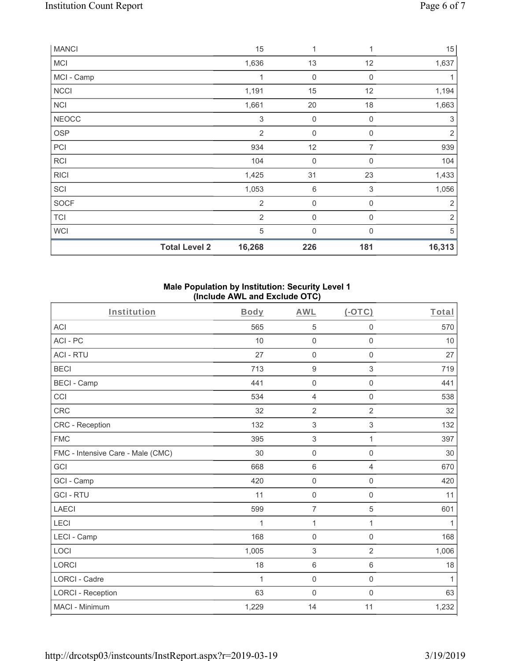| <b>MANCI</b> |                      | 15             | 1           | 1                         | 15         |
|--------------|----------------------|----------------|-------------|---------------------------|------------|
| <b>MCI</b>   |                      | 1,636          | 13          | 12                        | 1,637      |
| MCI - Camp   |                      |                | 0           | 0                         | 1          |
| <b>NCCI</b>  |                      | 1,191          | 15          | 12                        | 1,194      |
| <b>NCI</b>   |                      | 1,661          | 20          | 18                        | 1,663      |
| <b>NEOCC</b> |                      | $\,$ 3 $\,$    | $\mathbf 0$ | $\boldsymbol{0}$          | $\sqrt{3}$ |
| <b>OSP</b>   |                      | $\overline{2}$ | $\mathbf 0$ | 0                         | $\sqrt{2}$ |
| PCI          |                      | 934            | 12          | 7                         | 939        |
| <b>RCI</b>   |                      | 104            | $\mathbf 0$ | $\mathbf 0$               | 104        |
| <b>RICI</b>  |                      | 1,425          | 31          | 23                        | 1,433      |
| SCI          |                      | 1,053          | $\,$ 6      | $\ensuremath{\mathsf{3}}$ | 1,056      |
| SOCF         |                      | $\overline{2}$ | $\mathbf 0$ | $\boldsymbol{0}$          | $\sqrt{2}$ |
| <b>TCI</b>   |                      | $\overline{2}$ | $\mathbf 0$ | $\mathbf 0$               | $\sqrt{2}$ |
| <b>WCI</b>   |                      | $\sqrt{5}$     | $\mathbf 0$ | 0                         | 5          |
|              | <b>Total Level 2</b> | 16,268         | 226         | 181                       | 16,313     |

#### **Male Population by Institution: Security Level 1 (Include AWL and Exclude OTC)**

| Institution                       | Body        | <b>AWL</b>          | (OTC)               | Total        |
|-----------------------------------|-------------|---------------------|---------------------|--------------|
| <b>ACI</b>                        | 565         | 5                   | $\mathsf{O}\xspace$ | 570          |
| ACI-PC                            | 10          | $\mathbf 0$         | $\mathbf 0$         | 10           |
| <b>ACI - RTU</b>                  | 27          | $\mathsf{O}\xspace$ | $\mathbf 0$         | 27           |
| <b>BECI</b>                       | 713         | $\boldsymbol{9}$    | 3                   | 719          |
| <b>BECI - Camp</b>                | 441         | $\mathsf{O}\xspace$ | $\mathsf{O}\xspace$ | 441          |
| CCI                               | 534         | 4                   | $\mathsf{O}\xspace$ | 538          |
| CRC                               | 32          | $\overline{2}$      | $\overline{2}$      | 32           |
| <b>CRC</b> - Reception            | 132         | $\sqrt{3}$          | $\,$ 3 $\,$         | 132          |
| <b>FMC</b>                        | 395         | $\sqrt{3}$          | 1                   | 397          |
| FMC - Intensive Care - Male (CMC) | 30          | $\mathsf{O}\xspace$ | $\mathbf 0$         | 30           |
| GCI                               | 668         | $\,6\,$             | $\overline{4}$      | 670          |
| GCI - Camp                        | 420         | $\mathbf 0$         | $\mathbf 0$         | 420          |
| <b>GCI-RTU</b>                    | 11          | $\mathsf{O}\xspace$ | $\mathbf 0$         | 11           |
| <b>LAECI</b>                      | 599         | $\overline{7}$      | $\overline{5}$      | 601          |
| LECI                              | 1           | 1                   | 1                   | 1            |
| LECI - Camp                       | 168         | $\mathbf 0$         | $\mathbf 0$         | 168          |
| LOCI                              | 1,005       | $\sqrt{3}$          | $\overline{2}$      | 1,006        |
| <b>LORCI</b>                      | 18          | $\,6\,$             | $\,6\,$             | 18           |
| <b>LORCI - Cadre</b>              | $\mathbf 1$ | $\mathsf{O}\xspace$ | $\mathsf{O}\xspace$ | $\mathbf{1}$ |
| <b>LORCI - Reception</b>          | 63          | $\mathsf{O}\xspace$ | $\mathbf 0$         | 63           |
| MACI - Minimum                    | 1,229       | 14                  | 11                  | 1,232        |